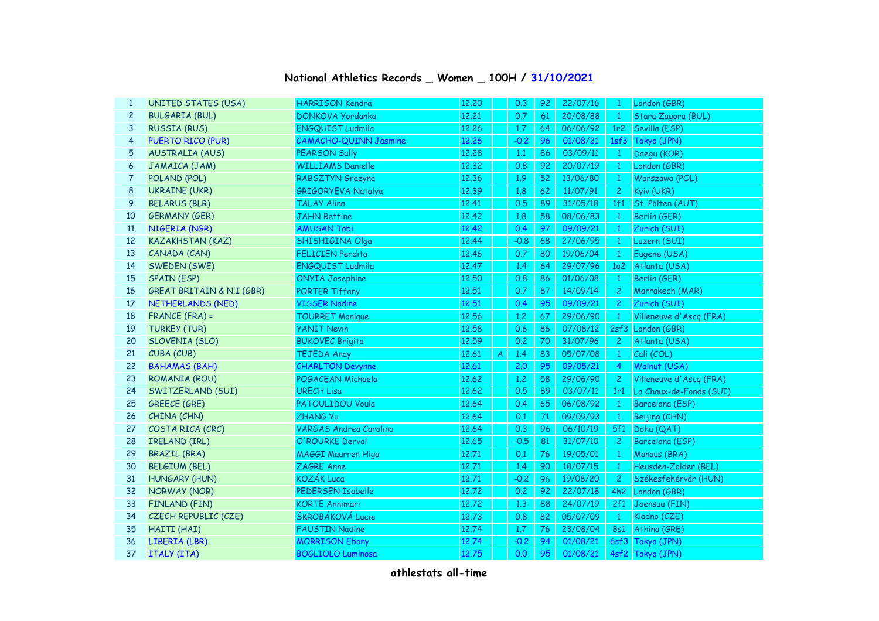## **National Athletics Records \_ Women \_ 100H / 31/10/2021**

| $\mathbf{1}$   | <b>UNITED STATES (USA)</b>           | <b>HARRISON Kendra</b>        | 12.20 |                  | 0.3    | 92 | 22/07/16 | -1              | London (GBR)            |
|----------------|--------------------------------------|-------------------------------|-------|------------------|--------|----|----------|-----------------|-------------------------|
| $\overline{c}$ | <b>BULGARIA (BUL)</b>                | DONKOVA Yordanka              | 12,21 |                  | 0.7    | 61 | 20/08/88 | $\mathbf{1}$    | Stara Zagora (BUL)      |
| 3              | <b>RUSSIA (RUS)</b>                  | <b>ENGQUIST Ludmila</b>       | 12.26 |                  | 1.7    | 64 | 06/06/92 | 1r <sub>2</sub> | Sevilla (ESP)           |
| 4              | PUERTO RICO (PUR)                    | <b>CAMACHO-QUINN Jasmine</b>  | 12.26 |                  | $-0.2$ | 96 | 01/08/21 | 1sf3            | Tokyo (JPN)             |
| 5              | <b>AUSTRALIA (AUS)</b>               | <b>PEARSON Sally</b>          | 12,28 |                  | 1.1    | 86 | 03/09/11 | $\mathbf{1}$    | Daegu (KOR)             |
| 6              | JAMAICA (JAM)                        | <b>WILLIAMS Danielle</b>      | 12,32 |                  | 0.8    | 92 | 20/07/19 | $\mathbf{1}$    | London (GBR)            |
| 7              | POLAND (POL)                         | RABSZTYN Grazyna              | 12.36 |                  | 1.9    | 52 | 13/06/80 | $\mathbf{1}$    | Warszawa (POL)          |
| 8              | <b>UKRAINE (UKR)</b>                 | <b>GRIGORYEVA Natalya</b>     | 12.39 |                  | 1.8    | 62 | 11/07/91 | $\overline{c}$  | Kyiv (UKR)              |
| 9              | <b>BELARUS (BLR)</b>                 | <b>TALAY Alina</b>            | 12.41 |                  | 0.5    | 89 | 31/05/18 | 1f1             | St. Pölten (AUT)        |
| 10             | <b>GERMANY (GER)</b>                 | <b>JAHN Bettine</b>           | 12.42 |                  | 1.8    | 58 | 08/06/83 | $\mathbf{1}$    | Berlin (GER)            |
| <b>11</b>      | NIGERIA (NGR)                        | <b>AMUSAN Tobi</b>            | 12.42 |                  | 0.4    | 97 | 09/09/21 | $\mathbf{1}$    | Zürich (SUI)            |
| 12             | <b>KAZAKHSTAN (KAZ)</b>              | SHISHIGINA Olga               | 12.44 |                  | $-0.8$ | 68 | 27/06/95 | $\mathbf{1}$    | Luzern (SUI)            |
| 13             | CANADA (CAN)                         | <b>FELICIEN Perdita</b>       | 12.46 |                  | 0.7    | 80 | 19/06/04 | $\mathbf{1}$    | Eugene (USA)            |
| 14             | SWEDEN (SWE)                         | <b>ENGQUIST Ludmila</b>       | 12.47 |                  | 1.4    | 64 | 29/07/96 | 1q2             | Atlanta (USA)           |
| 15             | <b>SPAIN (ESP)</b>                   | <b>ONYIA Josephine</b>        | 12.50 |                  | 0.8    | 86 | 01/06/08 | $\mathbf{1}$    | Berlin (GER)            |
| 16             | <b>GREAT BRITAIN &amp; N.I (GBR)</b> | <b>PORTER Tiffany</b>         | 12.51 |                  | 0.7    | 87 | 14/09/14 | $\overline{2}$  | Marrakech (MAR)         |
| 17             | NETHERLANDS (NED)                    | <b>VISSER Nadine</b>          | 12.51 |                  | 0.4    | 95 | 09/09/21 | $\overline{2}$  | Zürich (SUI)            |
| 18             | FRANCE (FRA) =                       | <b>TOURRET Monique</b>        | 12.56 |                  | 1.2    | 67 | 29/06/90 | $\mathbf{1}$    | Villeneuve d'Ascq (FRA) |
| 19             | <b>TURKEY (TUR)</b>                  | <b>YANIT Nevin</b>            | 12.58 |                  | 0.6    | 86 | 07/08/12 |                 | 2sf3 London (GBR)       |
| 20             | SLOVENIA (SLO)                       | <b>BUKOVEC Brigita</b>        | 12.59 |                  | 0.2    | 70 | 31/07/96 | $\overline{2}$  | Atlanta (USA)           |
| 21             | CUBA (CUB)                           | <b>TEJEDA Anay</b>            | 12.61 | $\boldsymbol{A}$ | 1.4    | 83 | 05/07/08 | $\mathbf{1}$    | Cali (COL)              |
| 22             | <b>BAHAMAS (BAH)</b>                 | <b>CHARLTON Devynne</b>       | 12.61 |                  | 2,0    | 95 | 09/05/21 | $\overline{4}$  | Walnut (USA)            |
| 23             | ROMANIA (ROU)                        | POGACEAN Michaela             | 12.62 |                  | 1.2    | 58 | 29/06/90 | $\overline{c}$  | Villeneuve d'Ascq (FRA) |
| 24             | SWITZERLAND (SUI)                    | <b>URECH Lisa</b>             | 12.62 |                  | 0.5    | 89 | 03/07/11 | 1r1             | La Chaux-de-Fonds (SUI) |
| 25             | <b>GREECE (GRE)</b>                  | <b>PATOULIDOU Voula</b>       | 12.64 |                  | 0.4    | 65 | 06/08/92 | $\mathbf{1}$    | Barcelona (ESP)         |
| 26             | CHINA (CHN)                          | ZHANG Yu                      | 12.64 |                  | 0.1    | 71 | 09/09/93 | $\mathbf{1}$    | Beijing (CHN)           |
| 27             | COSTA RICA (CRC)                     | <b>VARGAS Andrea Carolina</b> | 12.64 |                  | 0.3    | 96 | 06/10/19 | 5f1             | Doha (QAT)              |
| 28             | IRELAND (IRL)                        | O'ROURKE Derval               | 12.65 |                  | $-0.5$ | 81 | 31/07/10 | $\mathbf{2}$    | Barcelona (ESP)         |
| 29             | <b>BRAZIL (BRA)</b>                  | <b>MAGGI Maurren Higa</b>     | 12.71 |                  | 0.1    | 76 | 19/05/01 | $\mathbf{1}$    | Manaus (BRA)            |
| 30             | <b>BELGIUM (BEL)</b>                 | ZAGRE Anne                    | 12,71 |                  | 1.4    | 90 | 18/07/15 | $\mathbf{1}$    | Heusden-Zolder (BEL)    |
| 31             | HUNGARY (HUN)                        | <b>KOZÁK Luca</b>             | 12,71 |                  | $-0.2$ | 96 | 19/08/20 | $\overline{2}$  | Székesfehérvár (HUN)    |
| 32             | NORWAY (NOR)                         | PEDERSEN Isabelle             | 12.72 |                  | 0.2    | 92 | 22/07/18 | 4h2             | London (GBR)            |
| 33             | FINLAND (FIN)                        | <b>KORTE Annimari</b>         | 12.72 |                  | 1.3    | 88 | 24/07/19 | 2f1             | Joensuu (FIN)           |
| 34             | CZECH REPUBLIC (CZE)                 | ŠKROBÁKOVÁ Lucie              | 12.73 |                  | 0.8    | 82 | 05/07/09 | $\mathbf{1}$    | Kladno (CZE)            |
| 35             | HAITI (HAI)                          | <b>FAUSTIN Nadine</b>         | 12.74 |                  | 1.7    | 76 | 23/08/04 | 8s1             | Athína (GRE)            |
| 36             | LIBERIA (LBR)                        | <b>MORRISON Ebony</b>         | 12.74 |                  | $-0.2$ | 94 | 01/08/21 | 6sf3            | Tokyo (JPN)             |
| 37             | ITALY (ITA)                          | <b>BOGLIOLO Luminosa</b>      | 12.75 |                  | 0.0    | 95 | 01/08/21 |                 | 4sf2 Tokyo (JPN)        |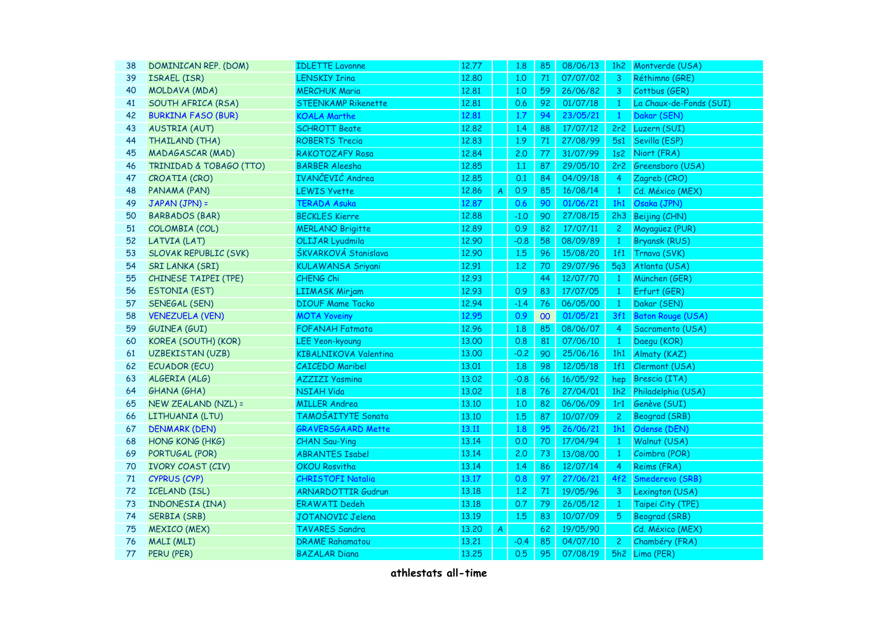| 38 | DOMINICAN REP. (DOM)         | <b>IDLETTE Lavonne</b>       | 12.77 |                | 1.8    | 85 | 08/06/13 | 1h <sub>2</sub> | Montverde (USA)          |
|----|------------------------------|------------------------------|-------|----------------|--------|----|----------|-----------------|--------------------------|
| 39 | <b>ISRAEL (ISR)</b>          | <b>LENSKIY Irina</b>         | 12,80 |                | 1,0    | 71 | 07/07/02 | 3               | Réthimno (GRE)           |
| 40 | MOLDAVA (MDA)                | <b>MERCHUK Maria</b>         | 12.81 |                | 1,0    | 59 | 26/06/82 | 3               | Cottbus (GER)            |
| 41 | <b>SOUTH AFRICA (RSA)</b>    | <b>STEENKAMP Rikenette</b>   | 12,81 |                | 0.6    | 92 | 01/07/18 | $\mathbf{1}$    | La Chaux-de-Fonds (SUI)  |
| 42 | <b>BURKINA FASO (BUR)</b>    | KOALA Marthe                 | 12.81 |                | 1.7    | 94 | 23/05/21 | $\mathbf{1}$    | Dakar (SEN)              |
| 43 | <b>AUSTRIA (AUT)</b>         | <b>SCHROTT Beate</b>         | 12,82 |                | 1.4    | 88 | 17/07/12 | 2r2             | Luzern (SUI)             |
| 44 | <b>THAILAND (THA)</b>        | <b>ROBERTS Trecia</b>        | 12.83 |                | 1.9    | 71 | 27/08/99 | 5s1             | Sevilla (ESP)            |
| 45 | <b>MADAGASCAR (MAD)</b>      | <b>RAKOTOZAFY Rosa</b>       | 12.84 |                | 2.0    | 77 | 31/07/99 | 1s <sub>2</sub> | Niort (FRA)              |
| 46 | TRINIDAD & TOBAGO (TTO)      | <b>BARBER Aleesha</b>        | 12.85 |                | 1.1    | 87 | 29/05/10 | 2r <sub>2</sub> | Greensboro (USA)         |
| 47 | CROATIA (CRO)                | IVANČEVIĆ Andrea             | 12.85 |                | 0.1    | 84 | 04/09/18 | $\overline{4}$  | Zagreb (CRO)             |
| 48 | PANAMA (PAN)                 | <b>LEWIS Yvette</b>          | 12.86 | $\overline{A}$ | 0.9    | 85 | 16/08/14 | $\mathbf{1}$    | Cd. México (MEX)         |
| 49 | JAPAN (JPN) =                | <b>TERADA Asuka</b>          | 12.87 |                | 0.6    | 90 | 01/06/21 | 1h1             | Osaka (JPN)              |
| 50 | <b>BARBADOS (BAR)</b>        | <b>BECKLES Kierre</b>        | 12.88 |                | $-1.0$ | 90 | 27/08/15 | 2h3             | Beijing (CHN)            |
| 51 | COLOMBIA (COL)               | <b>MERLANO Brigitte</b>      | 12.89 |                | 0.9    | 82 | 17/07/11 | $\mathbf{2}$    | Mayagüez (PUR)           |
| 52 | LATVIA (LAT)                 | <b>OLIJAR Lyudmila</b>       | 12.90 |                | $-0.8$ | 58 | 08/09/89 | $\mathbf{1}$    | <b>Bryansk (RUS)</b>     |
| 53 | <b>SLOVAK REPUBLIC (SVK)</b> | ŠKVARKOVÁ Stanislava         | 12.90 |                | 1.5    | 96 | 15/08/20 | 1f1             | Trnava (SVK)             |
| 54 | <b>SRI LANKA (SRI)</b>       | <b>KULAWANSA Sriyani</b>     | 12.91 |                | 1.2    | 70 | 29/07/96 |                 | 5q3 Atlanta (USA)        |
| 55 | <b>CHINESE TAIPEI (TPE)</b>  | CHENG Chi                    | 12.93 |                |        | 44 | 12/07/70 | $\mathbf{1}$    | München (GER)            |
| 56 | <b>ESTONIA (EST)</b>         | <b>LIIMASK Mirjam</b>        | 12.93 |                | 0.9    | 83 | 17/07/05 | $\mathbf{1}$    | Erfurt (GER)             |
| 57 | SENEGAL (SEN)                | <b>DIOUF Mame Tacko</b>      | 12.94 |                | $-1.4$ | 76 | 06/05/00 | $\mathbf{1}$    | Dakar (SEN)              |
| 58 | <b>VENEZUELA (VEN)</b>       | <b>MOTA Yoveiny</b>          | 12.95 |                | 0.9    | 00 | 01/05/21 | 3f1             | <b>Baton Rouge (USA)</b> |
| 59 | <b>GUINEA (GUI)</b>          | <b>FOFANAH Fatmata</b>       | 12.96 |                | 1.8    | 85 | 08/06/07 | 4               | Sacramento (USA)         |
| 60 | KOREA (SOUTH) (KOR)          | <b>LEE Yeon-kyoung</b>       | 13.00 |                | 0.8    | 81 | 07/06/10 | $\mathbf{1}$    | Daegu (KOR)              |
| 61 | UZBEKISTAN (UZB)             | <b>KIBALNIKOVA Valentina</b> | 13.00 |                | $-0.2$ | 90 | 25/06/16 | 1h1             | Almaty (KAZ)             |
| 62 | <b>ECUADOR (ECU)</b>         | <b>CAICEDO</b> Maribel       | 13.01 |                | 1.8    | 98 | 12/05/18 | 1f1             | Clermont (USA)           |
| 63 | ALGERIA (ALG)                | <b>AZZIZI Yasmina</b>        | 13.02 |                | $-0.8$ | 66 | 16/05/92 | hep             | Brescia (ITA)            |
| 64 | <b>GHANA (GHA)</b>           | <b>NSIAH Vida</b>            | 13.02 |                | 1.8    | 76 | 27/04/01 | 1h <sub>2</sub> | Philadelphia (USA)       |
| 65 | NEW ZEALAND (NZL) =          | <b>MILLER Andrea</b>         | 13.10 |                | 1.0    | 82 | 06/06/09 | 1r1             | Genève (SUI)             |
| 66 | LITHUANIA (LTU)              | TAMOŠAITYTE Sonata           | 13.10 |                | 1.5    | 87 | 10/07/09 | $\overline{2}$  | Beograd (SRB)            |
| 67 | <b>DENMARK (DEN)</b>         | <b>GRAVERSGAARD Mette</b>    | 13.11 |                | 1.8    | 95 | 26/06/21 | 1h1             | Odense (DEN)             |
| 68 | HONG KONG (HKG)              | <b>CHAN Sau-Ying</b>         | 13.14 |                | 0.0    | 70 | 17/04/94 | $\mathbf{1}$    | Walnut (USA)             |
| 69 | PORTUGAL (POR)               | <b>ABRANTES Isabel</b>       | 13.14 |                | 2,0    | 73 | 13/08/00 | $\mathbf{1}$    | Coimbra (POR)            |
| 70 | <b>IVORY COAST (CIV)</b>     | <b>OKOU Rosvitha</b>         | 13.14 |                | 1.4    | 86 | 12/07/14 | $\overline{4}$  | Reims (FRA)              |
| 71 | <b>CYPRUS (CYP)</b>          | <b>CHRISTOFI Natalia</b>     | 13.17 |                | 0.8    | 97 | 27/06/21 | 4f2             | Smederevo (SRB)          |
| 72 | <b>ICELAND (ISL)</b>         | <b>ARNARDOTTIR Gudrun</b>    | 13.18 |                | 1,2    | 71 | 19/05/96 | 3               | Lexington (USA)          |
| 73 | INDONESIA (INA)              | <b>ERAWATI Dedeh</b>         | 13.18 |                | 0.7    | 79 | 26/05/12 | $\mathbf{1}$    | Taipei City (TPE)        |
| 74 | <b>SERBIA (SRB)</b>          | JOTANOVIC Jelena             | 13.19 |                | 1.5    | 83 | 10/07/09 | $5\overline{)}$ | Beograd (SRB)            |
| 75 | <b>MEXICO (MEX)</b>          | <b>TAVARES Sandra</b>        | 13,20 | $\overline{A}$ |        | 62 | 19/05/90 |                 | Cd. México (MEX)         |
| 76 | MALI (MLI)                   | <b>DRAME Rahamatou</b>       | 13,21 |                | $-0.4$ | 85 | 04/07/10 | $\mathbf{2}$    | Chambéry (FRA)           |
| 77 | PERU (PER)                   | <b>BAZALAR Diana</b>         | 13.25 |                | 0.5    | 95 | 07/08/19 |                 | 5h2 Lima (PER)           |